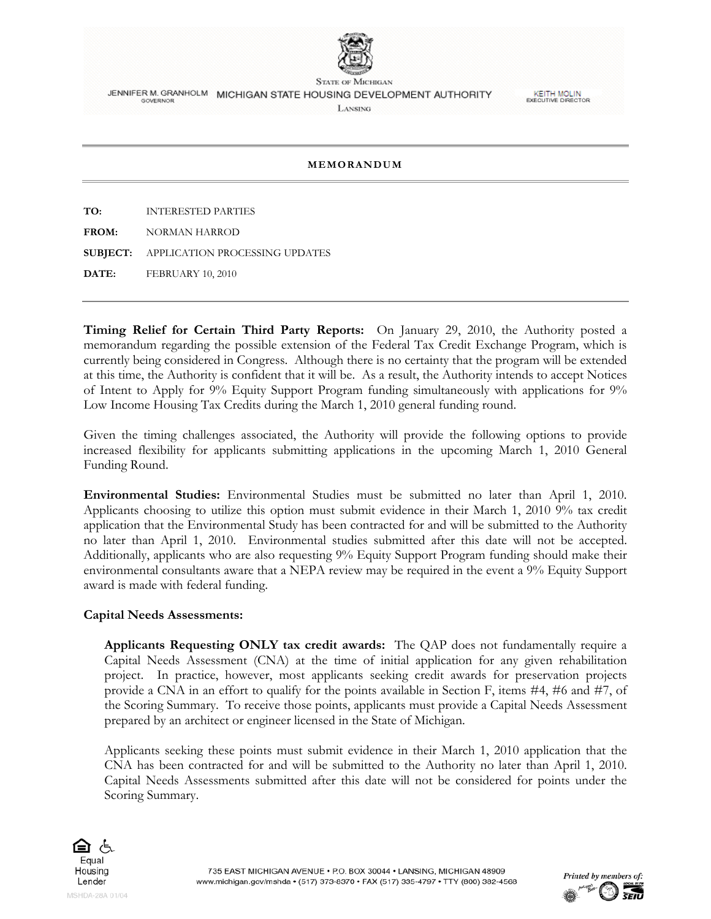

**STATE OF MICHIGAN** JENNIFER M. GRANHOLM MICHIGAN STATE HOUSING DEVELOPMENT AUTHORITY LANSING

**KEITH MOLIN**<br>EXECUTIVE DIRECTOR

## **MEMORANDUM**

**TO:** INTERESTED PARTIES

**FROM:** NORMAN HARROD

**SUBJECT:** APPLICATION PROCESSING UPDATES

**DATE: FEBRUARY 10, 2010** 

**Timing Relief for Certain Third Party Reports:** On January 29, 2010, the Authority posted a memorandum regarding the possible extension of the Federal Tax Credit Exchange Program, which is currently being considered in Congress. Although there is no certainty that the program will be extended at this time, the Authority is confident that it will be. As a result, the Authority intends to accept Notices of Intent to Apply for 9% Equity Support Program funding simultaneously with applications for 9% Low Income Housing Tax Credits during the March 1, 2010 general funding round.

Given the timing challenges associated, the Authority will provide the following options to provide increased flexibility for applicants submitting applications in the upcoming March 1, 2010 General Funding Round.

**Environmental Studies:** Environmental Studies must be submitted no later than April 1, 2010. Applicants choosing to utilize this option must submit evidence in their March 1, 2010 9% tax credit application that the Environmental Study has been contracted for and will be submitted to the Authority no later than April 1, 2010. Environmental studies submitted after this date will not be accepted. Additionally, applicants who are also requesting 9% Equity Support Program funding should make their environmental consultants aware that a NEPA review may be required in the event a 9% Equity Support award is made with federal funding.

## **Capital Needs Assessments:**

**Applicants Requesting ONLY tax credit awards:** The QAP does not fundamentally require a Capital Needs Assessment (CNA) at the time of initial application for any given rehabilitation project. In practice, however, most applicants seeking credit awards for preservation projects provide a CNA in an effort to qualify for the points available in Section F, items #4, #6 and #7, of the Scoring Summary. To receive those points, applicants must provide a Capital Needs Assessment prepared by an architect or engineer licensed in the State of Michigan.

Applicants seeking these points must submit evidence in their March 1, 2010 application that the CNA has been contracted for and will be submitted to the Authority no later than April 1, 2010. Capital Needs Assessments submitted after this date will not be considered for points under the Scoring Summary.



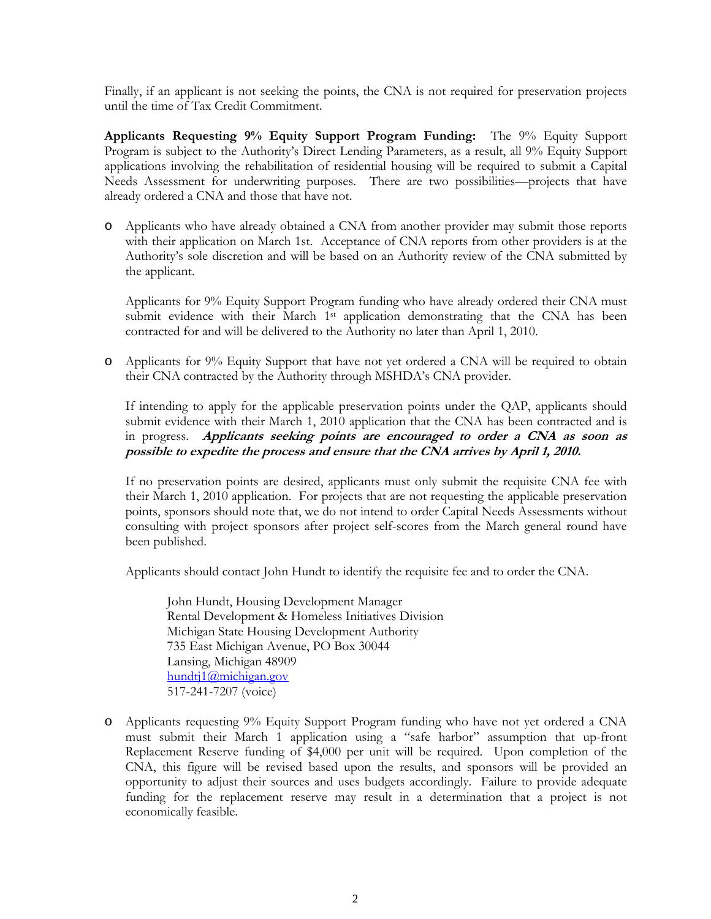Finally, if an applicant is not seeking the points, the CNA is not required for preservation projects until the time of Tax Credit Commitment.

**Applicants Requesting 9% Equity Support Program Funding:** The 9% Equity Support Program is subject to the Authority's Direct Lending Parameters, as a result, all 9% Equity Support applications involving the rehabilitation of residential housing will be required to submit a Capital Needs Assessment for underwriting purposes. There are two possibilities—projects that have already ordered a CNA and those that have not.

o Applicants who have already obtained a CNA from another provider may submit those reports with their application on March 1st. Acceptance of CNA reports from other providers is at the Authority's sole discretion and will be based on an Authority review of the CNA submitted by the applicant.

Applicants for 9% Equity Support Program funding who have already ordered their CNA must submit evidence with their March  $1<sup>st</sup>$  application demonstrating that the CNA has been contracted for and will be delivered to the Authority no later than April 1, 2010.

o Applicants for 9% Equity Support that have not yet ordered a CNA will be required to obtain their CNA contracted by the Authority through MSHDA's CNA provider.

If intending to apply for the applicable preservation points under the QAP, applicants should submit evidence with their March 1, 2010 application that the CNA has been contracted and is in progress. **Applicants seeking points are encouraged to order a CNA as soon as possible to expedite the process and ensure that the CNA arrives by April 1, 2010.**

If no preservation points are desired, applicants must only submit the requisite CNA fee with their March 1, 2010 application. For projects that are not requesting the applicable preservation points, sponsors should note that, we do not intend to order Capital Needs Assessments without consulting with project sponsors after project self-scores from the March general round have been published.

Applicants should contact John Hundt to identify the requisite fee and to order the CNA.

John Hundt, Housing Development Manager Rental Development & Homeless Initiatives Division Michigan State Housing Development Authority 735 East Michigan Avenue, PO Box 30044 Lansing, Michigan 48909 hundtj1@michigan.gov 517-241-7207 (voice)

o Applicants requesting 9% Equity Support Program funding who have not yet ordered a CNA must submit their March 1 application using a "safe harbor" assumption that up-front Replacement Reserve funding of \$4,000 per unit will be required. Upon completion of the CNA, this figure will be revised based upon the results, and sponsors will be provided an opportunity to adjust their sources and uses budgets accordingly. Failure to provide adequate funding for the replacement reserve may result in a determination that a project is not economically feasible.